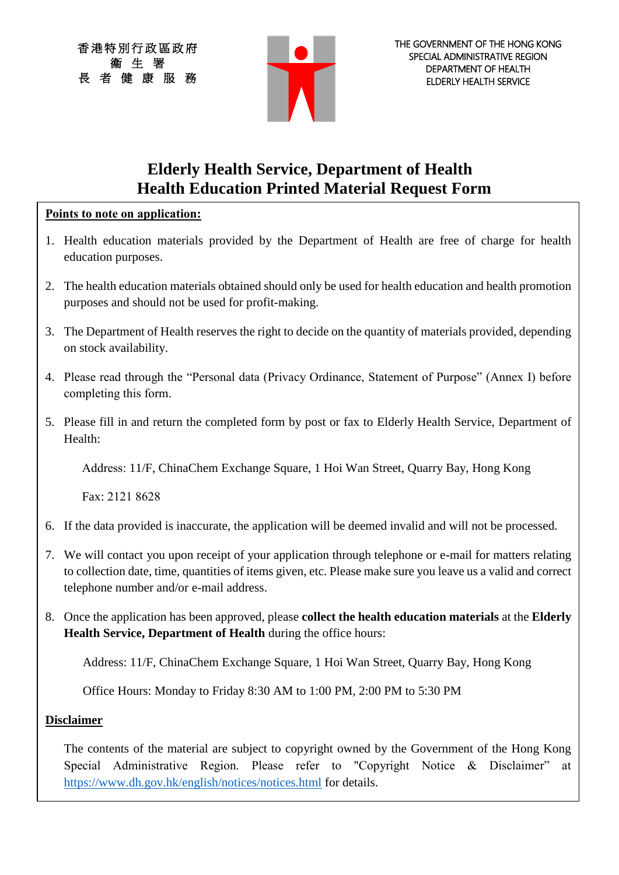香港特別行政區政府 衞 生 署 長 者 健 康 服 務



## **Elderly Health Service, Department of Health Health Education Printed Material Request Form**

### **Points to note on application:**

- 1. Health education materials provided by the Department of Health are free of charge for health education purposes.
- 2. The health education materials obtained should only be used for health education and health promotion purposes and should not be used for profit-making.
- 3. The Department of Health reserves the right to decide on the quantity of materials provided, depending on stock availability.
- 4. Please read through the "Personal data (Privacy Ordinance, Statement of Purpose" (Annex I) before completing this form.
- 5. Please fill in and return the completed form by post or fax to Elderly Health Service, Department of Health:

Address: 11/F, ChinaChem Exchange Square, 1 Hoi Wan Street, Quarry Bay, Hong Kong

Fax: 2121 8628

- 6. If the data provided is inaccurate, the application will be deemed invalid and will not be processed.
- 7. We will contact you upon receipt of your application through telephone or e-mail for matters relating to collection date, time, quantities of items given, etc. Please make sure you leave us a valid and correct telephone number and/or e-mail address.
- 8. Once the application has been approved, please **collect the health education materials** at the **Elderly Health Service, Department of Health** during the office hours:

Address: 11/F, ChinaChem Exchange Square, 1 Hoi Wan Street, Quarry Bay, Hong Kong

Office Hours: Monday to Friday 8:30 AM to 1:00 PM, 2:00 PM to 5:30 PM

## **Disclaimer**

The contents of the material are subject to copyright owned by the Government of the Hong Kong Special Administrative Region. Please refer to "Copyright Notice & Disclaimer" at <https://www.dh.gov.hk/english/notices/notices.html> for details.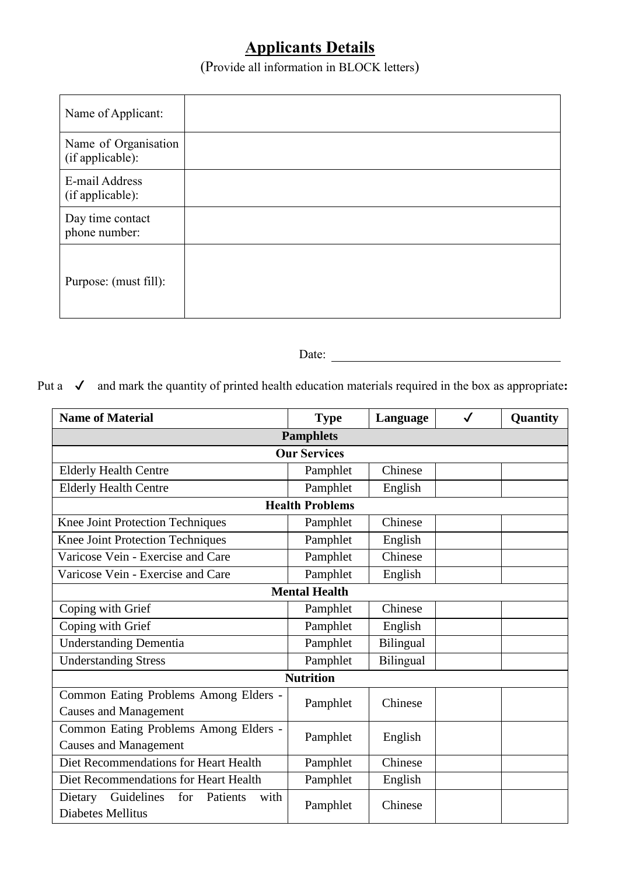# **Applicants Details**

(Provide all information in BLOCK letters)

| Name of Applicant:                       |  |
|------------------------------------------|--|
| Name of Organisation<br>(if applicable): |  |
| E-mail Address<br>(if applicable):       |  |
| Day time contact<br>phone number:        |  |
| Purpose: (must fill):                    |  |

Date:

Put a  $\checkmark$  and mark the quantity of printed health education materials required in the box as appropriate:

| <b>Name of Material</b>                                               | <b>Type</b> | Language  | $\checkmark$ | Quantity |  |  |  |  |
|-----------------------------------------------------------------------|-------------|-----------|--------------|----------|--|--|--|--|
| <b>Pamphlets</b>                                                      |             |           |              |          |  |  |  |  |
| <b>Our Services</b>                                                   |             |           |              |          |  |  |  |  |
| <b>Elderly Health Centre</b>                                          | Pamphlet    | Chinese   |              |          |  |  |  |  |
| <b>Elderly Health Centre</b>                                          | Pamphlet    | English   |              |          |  |  |  |  |
| <b>Health Problems</b>                                                |             |           |              |          |  |  |  |  |
| Knee Joint Protection Techniques                                      | Pamphlet    | Chinese   |              |          |  |  |  |  |
| Knee Joint Protection Techniques                                      | Pamphlet    | English   |              |          |  |  |  |  |
| Varicose Vein - Exercise and Care                                     | Pamphlet    | Chinese   |              |          |  |  |  |  |
| Varicose Vein - Exercise and Care                                     | Pamphlet    | English   |              |          |  |  |  |  |
| <b>Mental Health</b>                                                  |             |           |              |          |  |  |  |  |
| Coping with Grief                                                     | Pamphlet    | Chinese   |              |          |  |  |  |  |
| Coping with Grief                                                     | Pamphlet    | English   |              |          |  |  |  |  |
| <b>Understanding Dementia</b>                                         | Pamphlet    | Bilingual |              |          |  |  |  |  |
| <b>Understanding Stress</b>                                           | Pamphlet    | Bilingual |              |          |  |  |  |  |
| <b>Nutrition</b>                                                      |             |           |              |          |  |  |  |  |
| Common Eating Problems Among Elders -<br><b>Causes and Management</b> | Pamphlet    | Chinese   |              |          |  |  |  |  |
| Common Eating Problems Among Elders -<br><b>Causes and Management</b> | Pamphlet    | English   |              |          |  |  |  |  |
| Diet Recommendations for Heart Health                                 | Pamphlet    | Chinese   |              |          |  |  |  |  |
| Diet Recommendations for Heart Health                                 | Pamphlet    | English   |              |          |  |  |  |  |
| Guidelines<br>for<br>Dietary<br>Patients<br>with<br>Diabetes Mellitus | Pamphlet    | Chinese   |              |          |  |  |  |  |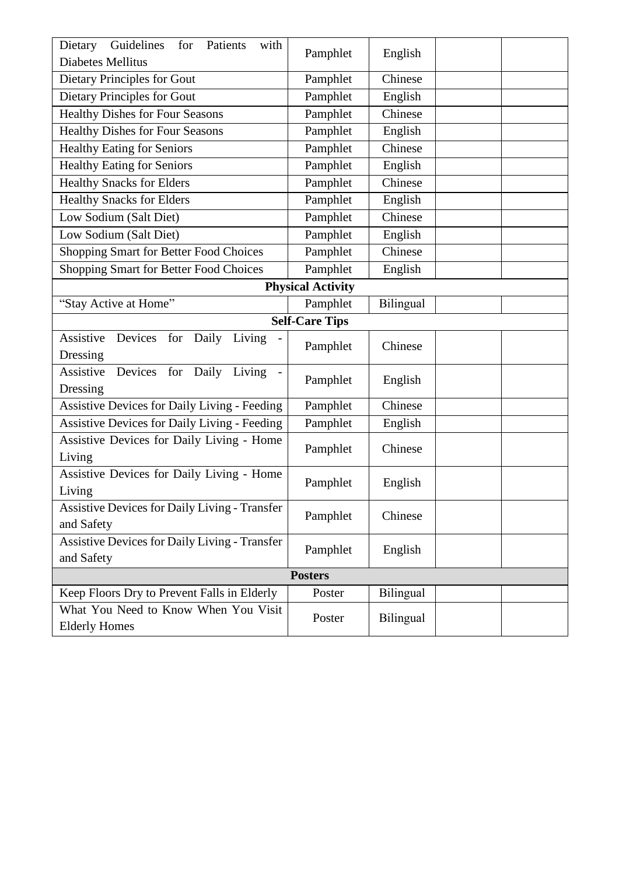| Dietary Guidelines<br>for Patients<br>with<br>Diabetes Mellitus    | Pamphlet              | English   |  |  |  |  |  |
|--------------------------------------------------------------------|-----------------------|-----------|--|--|--|--|--|
| Dietary Principles for Gout                                        | Pamphlet              | Chinese   |  |  |  |  |  |
| Dietary Principles for Gout                                        | Pamphlet              | English   |  |  |  |  |  |
| <b>Healthy Dishes for Four Seasons</b>                             | Pamphlet              | Chinese   |  |  |  |  |  |
| <b>Healthy Dishes for Four Seasons</b>                             | Pamphlet              | English   |  |  |  |  |  |
| <b>Healthy Eating for Seniors</b>                                  | Pamphlet              | Chinese   |  |  |  |  |  |
| <b>Healthy Eating for Seniors</b>                                  | Pamphlet              | English   |  |  |  |  |  |
| <b>Healthy Snacks for Elders</b>                                   | Pamphlet              | Chinese   |  |  |  |  |  |
| <b>Healthy Snacks for Elders</b>                                   | Pamphlet              | English   |  |  |  |  |  |
| Low Sodium (Salt Diet)                                             | Pamphlet              | Chinese   |  |  |  |  |  |
| Low Sodium (Salt Diet)                                             | Pamphlet              | English   |  |  |  |  |  |
| <b>Shopping Smart for Better Food Choices</b>                      | Pamphlet              | Chinese   |  |  |  |  |  |
| <b>Shopping Smart for Better Food Choices</b>                      | Pamphlet              | English   |  |  |  |  |  |
| <b>Physical Activity</b>                                           |                       |           |  |  |  |  |  |
| "Stay Active at Home"                                              | Pamphlet              | Bilingual |  |  |  |  |  |
|                                                                    | <b>Self-Care Tips</b> |           |  |  |  |  |  |
| Devices for Daily Living<br>Assistive<br>Dressing                  | Pamphlet              | Chinese   |  |  |  |  |  |
| Devices<br>Assistive<br>Daily<br>for<br>Living<br>Dressing         | Pamphlet              | English   |  |  |  |  |  |
| <b>Assistive Devices for Daily Living - Feeding</b>                | Pamphlet              | Chinese   |  |  |  |  |  |
| <b>Assistive Devices for Daily Living - Feeding</b>                | Pamphlet              | English   |  |  |  |  |  |
| Assistive Devices for Daily Living - Home<br>Living                | Pamphlet              | Chinese   |  |  |  |  |  |
| Assistive Devices for Daily Living - Home<br>Living                | Pamphlet              | English   |  |  |  |  |  |
| Assistive Devices for Daily Living - Transfer<br>and Safety        | Pamphlet              | Chinese   |  |  |  |  |  |
| <b>Assistive Devices for Daily Living - Transfer</b><br>and Safety | Pamphlet              | English   |  |  |  |  |  |
| <b>Posters</b>                                                     |                       |           |  |  |  |  |  |
| Keep Floors Dry to Prevent Falls in Elderly                        | Poster                | Bilingual |  |  |  |  |  |
| What You Need to Know When You Visit<br><b>Elderly Homes</b>       | Poster                | Bilingual |  |  |  |  |  |